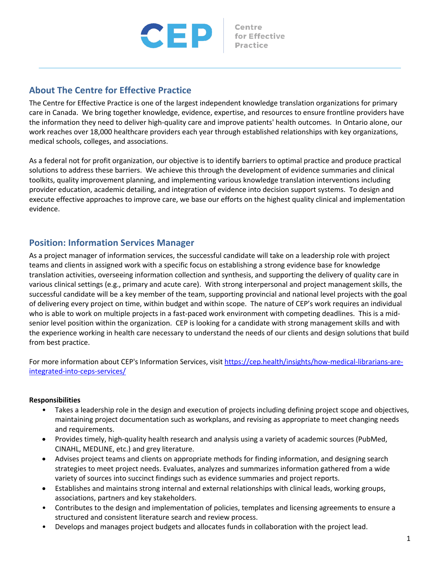

# **About The Centre for Effective Practice**

The Centre for Effective Practice is one of the largest independent knowledge translation organizations for primary care in Canada. We bring together knowledge, evidence, expertise, and resources to ensure frontline providers have the information they need to deliver high-quality care and improve patients' health outcomes. In Ontario alone, our work reaches over 18,000 healthcare providers each year through established relationships with key organizations, medical schools, colleges, and associations.

As a federal not for profit organization, our objective is to identify barriers to optimal practice and produce practical solutions to address these barriers. We achieve this through the development of evidence summaries and clinical toolkits, quality improvement planning, and implementing various knowledge translation interventions including provider education, academic detailing, and integration of evidence into decision support systems. To design and execute effective approaches to improve care, we base our efforts on the highest quality clinical and implementation evidence.

## **Position: Information Services Manager**

As a project manager of information services, the successful candidate will take on a leadership role with project teams and clients in assigned work with a specific focus on establishing a strong evidence base for knowledge translation activities, overseeing information collection and synthesis, and supporting the delivery of quality care in various clinical settings (e.g., primary and acute care). With strong interpersonal and project management skills, the successful candidate will be a key member of the team, supporting provincial and national level projects with the goal of delivering every project on time, within budget and within scope. The nature of CEP's work requires an individual who is able to work on multiple projects in a fast-paced work environment with competing deadlines. This is a midsenior level position within the organization. CEP is looking for a candidate with strong management skills and with the experience working in health care necessary to understand the needs of our clients and design solutions that build from best practice.

For more information about CEP's Information Services, visit https://cep.health/insights/how-medical-librarians-areintegrated-into-ceps-services/

#### **Responsibilities**

- Takes a leadership role in the design and execution of projects including defining project scope and objectives, maintaining project documentation such as workplans, and revising as appropriate to meet changing needs and requirements.
- Provides timely, high-quality health research and analysis using a variety of academic sources (PubMed, CINAHL, MEDLINE, etc.) and grey literature.
- Advises project teams and clients on appropriate methods for finding information, and designing search strategies to meet project needs. Evaluates, analyzes and summarizes information gathered from a wide variety of sources into succinct findings such as evidence summaries and project reports.
- Establishes and maintains strong internal and external relationships with clinical leads, working groups, associations, partners and key stakeholders.
- Contributes to the design and implementation of policies, templates and licensing agreements to ensure a structured and consistent literature search and review process.
- Develops and manages project budgets and allocates funds in collaboration with the project lead.